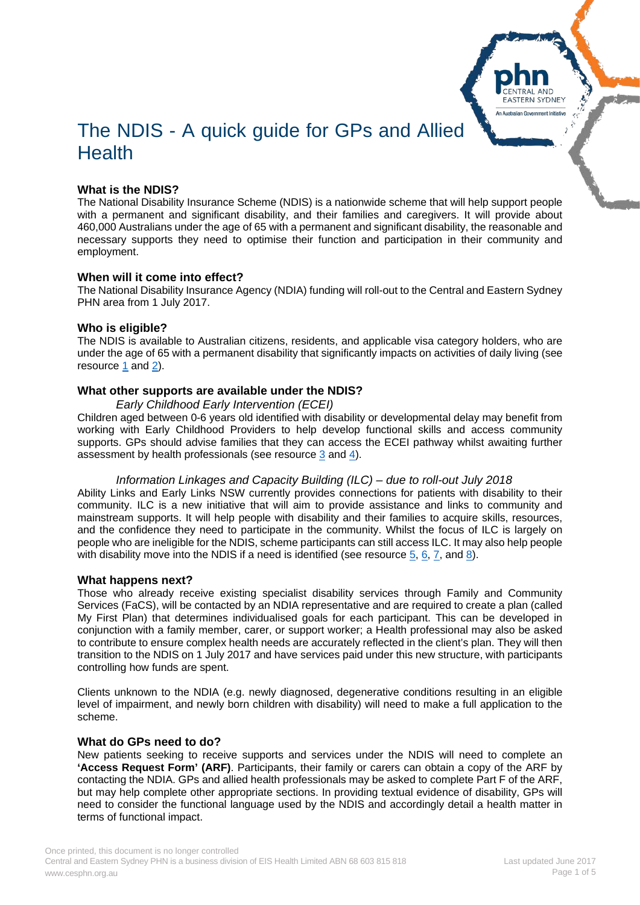# The NDIS - A quick guide for GPs and Allied **Health**

# **What is the NDIS?**

The National Disability Insurance Scheme (NDIS) is a nationwide scheme that will help support people with a permanent and significant disability, and their families and caregivers. It will provide about 460,000 Australians under the age of 65 with a permanent and significant disability, the reasonable and necessary supports they need to optimise their function and participation in their community and employment.

#### **When will it come into effect?**

The National Disability Insurance Agency (NDIA) funding will roll-out to the Central and Eastern Sydney PHN area from 1 July 2017.

#### **Who is eligible?**

The NDIS is available to Australian citizens, residents, and applicable visa category holders, who are under the age of 65 with a permanent disability that significantly impacts on activities of daily living (see resource [1](http://ndis.nsw.gov.au/ndis-resources/fact-sheets/fact-sheet-eligibility-requirements-for-the-ndis/) and [2\)](http://www.ndis.gov.au/ndis-access-checklist.html).

#### **What other supports are available under the NDIS?**

#### *Early Childhood Early Intervention (ECEI)*

Children aged between 0-6 years old identified with disability or developmental delay may benefit from working with Early Childhood Providers to help develop functional skills and access community supports. GPs should advise families that they can access the ECEI pathway whilst awaiting further assessment by health professionals (see resource [3](http://www.ndis.nsw.gov.au/ready-for-ndis/early-childhood-early-intervention-ecei/) and [4\)](http://www.ndis.gov.au/ecei).

#### *Information Linkages and Capacity Building (ILC) – due to roll-out July 2018*

Ability Links and Early Links NSW currently provides connections for patients with disability to their community. ILC is a new initiative that will aim to provide assistance and links to community and mainstream supports. It will help people with disability and their families to acquire skills, resources, and the confidence they need to participate in the community. Whilst the focus of ILC is largely on people who are ineligible for the NDIS, scheme participants can still access ILC. It may also help people with disability move into the NDIS if a need is identified (see resource [5,](http://www.abilitylinksnsw.org.au/about_us.html) [6,](http://www.adhc.nsw.gov.au/individuals/inclusion_and_participation/ability_links_nsw) [7,](http://www.adhc.nsw.gov.au/individuals/support/for_families_and_children/early_intervention_for_children) and [8\)](http://ndis.nsw.gov.au/ndis-resources/fact-sheets/fact-sheet-information-linkages-and-capacity-building-ilc/).

#### **What happens next?**

Those who already receive existing specialist disability services through Family and Community Services (FaCS), will be contacted by an NDIA representative and are required to create a plan (called My First Plan) that determines individualised goals for each participant. This can be developed in conjunction with a family member, carer, or support worker; a Health professional may also be asked to contribute to ensure complex health needs are accurately reflected in the client's plan. They will then transition to the NDIS on 1 July 2017 and have services paid under this new structure, with participants controlling how funds are spent.

Clients unknown to the NDIA (e.g. newly diagnosed, degenerative conditions resulting in an eligible level of impairment, and newly born children with disability) will need to make a full application to the scheme.

#### **What do GPs need to do?**

New patients seeking to receive supports and services under the NDIS will need to complete an **'Access Request Form' (ARF)**. Participants, their family or carers can obtain a copy of the ARF by contacting the NDIA. GPs and allied health professionals may be asked to complete Part F of the ARF, but may help complete other appropriate sections. In providing textual evidence of disability, GPs will need to consider the functional language used by the NDIS and accordingly detail a health matter in terms of functional impact.

**EASTERN SYDNEY** An Australian Government Initiative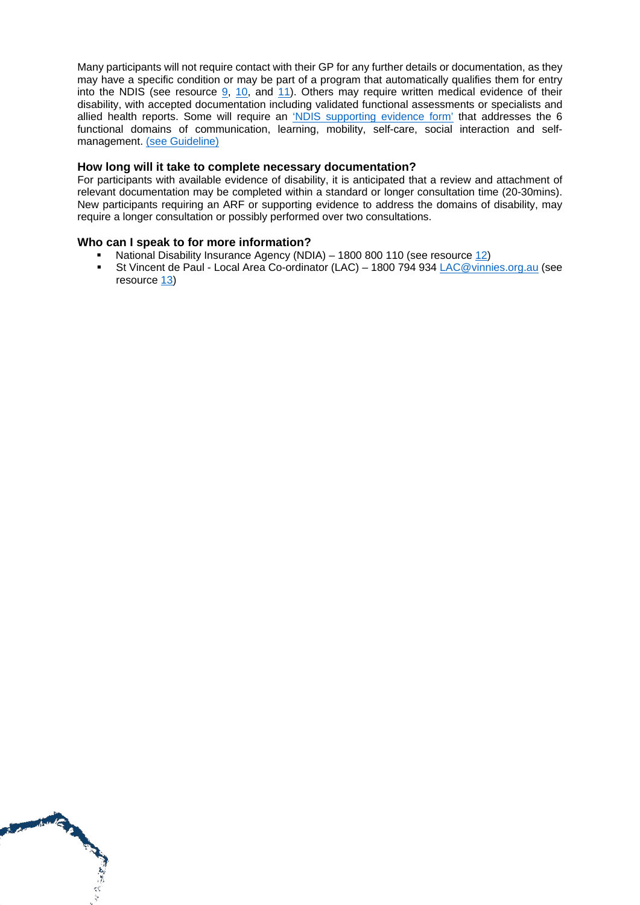Many participants will not require contact with their GP for any further details or documentation, as they may have a specific condition or may be part of a program that automatically qualifies them for entry into the NDIS (see resource [9,](https://www.ndis.gov.au/people-with-disability/access-requirements/completing-your-access-request-form/evidence-of-disability) [10,](http://www.ndis.gov.au/operational-guideline/access/disability-requirements.html) and [11\)](https://www.ndis.gov.au/operational-guideline/access/list-e.html). Others may require written medical evidence of their disability, with accepted documentation including validated functional assessments or specialists and allied health reports. Some will require an ['NDIS supporting evidence form'](https://www.cesphn.org.au/images/20170509_Health_Template_for_Supporting_NDIS_Access.docx) that addresses the 6 functional domains of communication, learning, mobility, self-care, social interaction and selfmanagement. [\(see Guideline\)](https://www.cesphn.org.au/images/20170509_Supporting_access_NDIS_new_participants.pdf)

#### **How long will it take to complete necessary documentation?**

For participants with available evidence of disability, it is anticipated that a review and attachment of relevant documentation may be completed within a standard or longer consultation time (20-30mins). New participants requiring an ARF or supporting evidence to address the domains of disability, may require a longer consultation or possibly performed over two consultations.

## **Who can I speak to for more information?**

MAG 1

- National Disability Insurance Agency (NDIA) 1800 800 110 (see resource  $12$ )<br>St Vincent de Paul Local Area Co-ordinator (LAC) 1800 794 934 LAC@vinni
- St Vincent de Paul Local Area Co-ordinator (LAC) 1800 794 934 [LAC@vinnies.org.au](mailto:LAC@vinnies.org.au) (see resource [13\)](https://www.vinnies.org.au/page/Find_Help/NSW/Disability_Employment/Local_Area_Coordination_for_the_NDIS_Rollout/)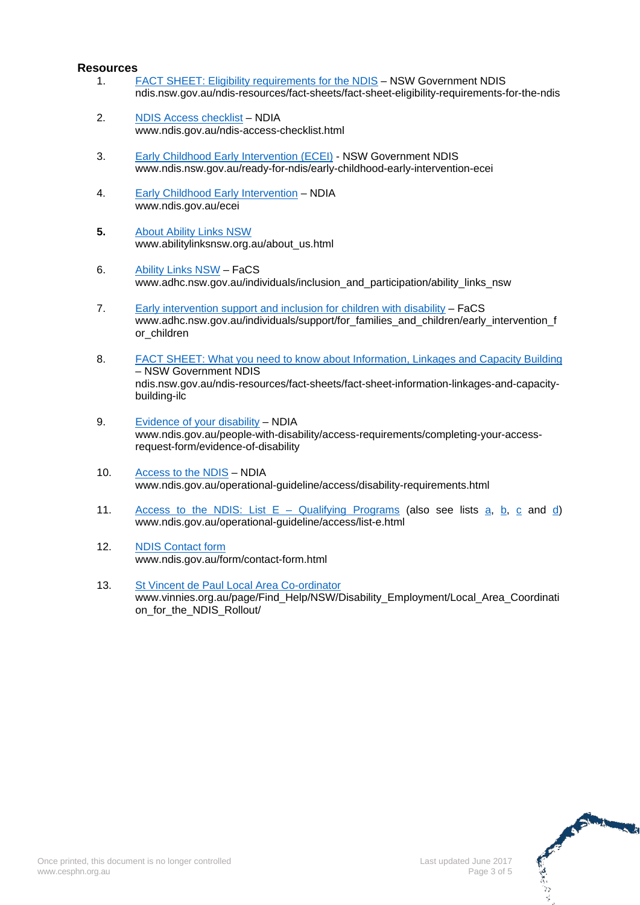#### **Resources**

- 1. [FACT SHEET: Eligibility requirements for the NDIS](http://ndis.nsw.gov.au/ndis-resources/fact-sheets/fact-sheet-eligibility-requirements-for-the-ndis/) NSW Government NDIS ndis.nsw.gov.au/ndis-resources/fact-sheets/fact-sheet-eligibility-requirements-for-the-ndis
- 2. [NDIS Access checklist](http://www.ndis.gov.au/ndis-access-checklist.html) NDIA www.ndis.gov.au/ndis-access-checklist.html
- 3. [Early Childhood Early Intervention \(ECEI\)](http://www.ndis.nsw.gov.au/ready-for-ndis/early-childhood-early-intervention-ecei/) NSW Government NDIS www.ndis.nsw.gov.au/ready-for-ndis/early-childhood-early-intervention-ecei
- 4. [Early Childhood Early Intervention](http://www.ndis.gov.au/ecei) NDIA www.ndis.gov.au/ecei
- **5.** About [Ability Links NSW](http://www.abilitylinksnsw.org.au/about_us.html) www.abilitylinksnsw.org.au/about\_us.html
- 6. [Ability Links NSW](http://www.adhc.nsw.gov.au/individuals/inclusion_and_participation/ability_links_nsw) FaCS www.adhc.nsw.gov.au/individuals/inclusion\_and\_participation/ability\_links\_nsw
- 7. [Early intervention support and inclusion for children](http://www.adhc.nsw.gov.au/individuals/support/for_families_and_children/early_intervention_for_children) with disability FaCS www.adhc.nsw.gov.au/individuals/support/for\_families\_and\_children/early\_intervention\_f or\_children
- 8. [FACT SHEET: What you need to know about Information, Linkages and Capacity Building](http://ndis.nsw.gov.au/ndis-resources/fact-sheets/fact-sheet-information-linkages-and-capacity-building-ilc/) – NSW Government NDIS ndis.nsw.gov.au/ndis-resources/fact-sheets/fact-sheet-information-linkages-and-capacitybuilding-ilc
- 9. [Evidence of your disability](https://www.ndis.gov.au/people-with-disability/access-requirements/completing-your-access-request-form/evidence-of-disability) NDIA www.ndis.gov.au/people-with-disability/access-requirements/completing-your-accessrequest-form/evidence-of-disability
- 10. [Access to the NDIS](http://www.ndis.gov.au/operational-guideline/access/disability-requirements.html) NDIA www.ndis.gov.au/operational-guideline/access/disability-requirements.html
- 11. [Access to the NDIS: List E –](https://www.ndis.gov.au/operational-guideline/access/list-e.html) Qualifying Programs (also see lists [a,](https://www.ndis.gov.au/operational-guideline/access/list-a.html) [b,](https://www.ndis.gov.au/operational-guideline/access/list-b.html) [c](https://www.ndis.gov.au/operational-guideline/access/list-c.html) and [d\)](https://www.ndis.gov.au/operational-guideline/access/list-d.html) www.ndis.gov.au/operational-guideline/access/list-e.html
- 12. [NDIS Contact form](https://www.ndis.gov.au/form/contact-form.html) [www.ndis.gov.au/form/contact-form.html](http://www.ndis.gov.au/form/contact-form.html)
- 13. [St Vincent de Paul Local Area Co-ordinator](https://www.vinnies.org.au/page/Find_Help/NSW/Disability_Employment/Local_Area_Coordination_for_the_NDIS_Rollout/) www.vinnies.org.au/page/Find\_Help/NSW/Disability\_Employment/Local\_Area\_Coordinati on\_for\_the\_NDIS\_Rollout/

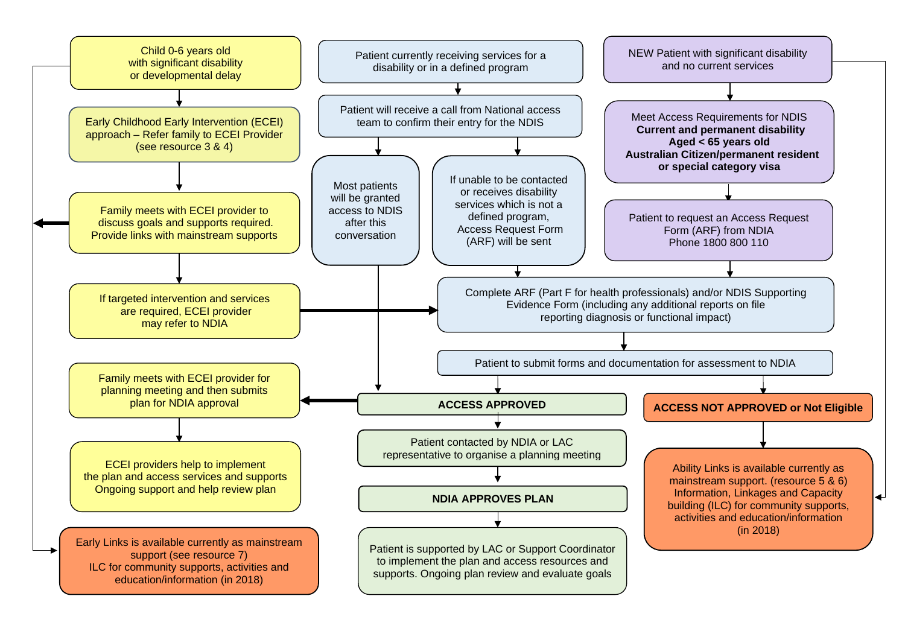